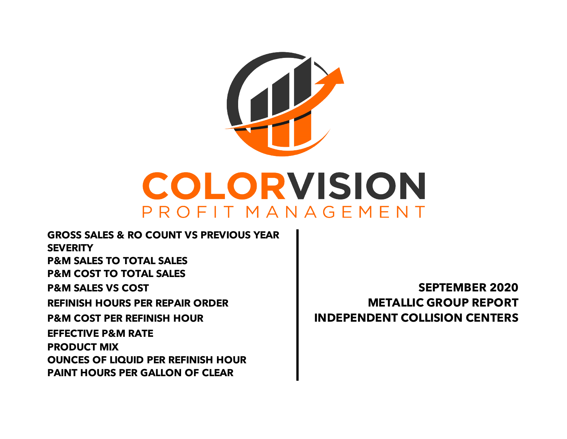

**GROSS SALES & RO COUNT VS PREVIOUS YEAR SEVERITY P&M SALES TO TOTAL SALES P&M COST TO TOTAL SALES P&M SALES VS COST SEPTEMBER 2020 REFINISH HOURS PER REPAIR ORDER METALLIC GROUP REPORT P&M COST PER REFINISH HOUR INDEPENDENT COLLISION CENTERS PAINT HOURS PER GALLON OF CLEAR EFFECTIVE P&M RATE PRODUCT MIX OUNCES OF LIQUID PER REFINISH HOUR**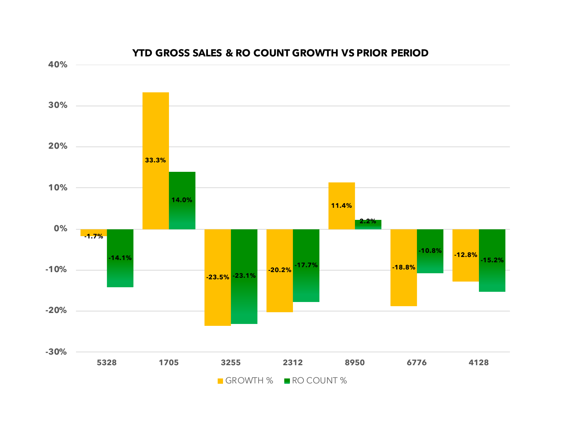

#### **YTD GROSS SALES & RO COUNT GROWTH VS PRIOR PERIOD**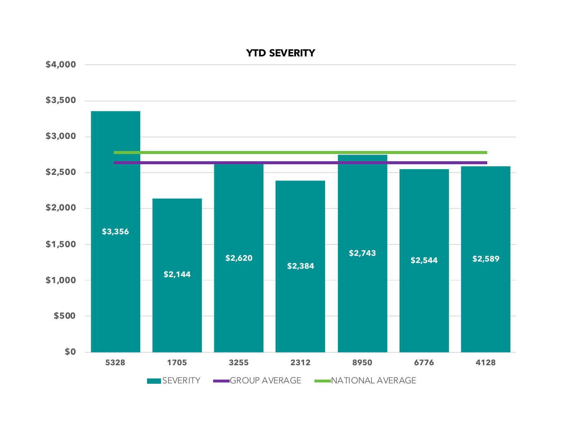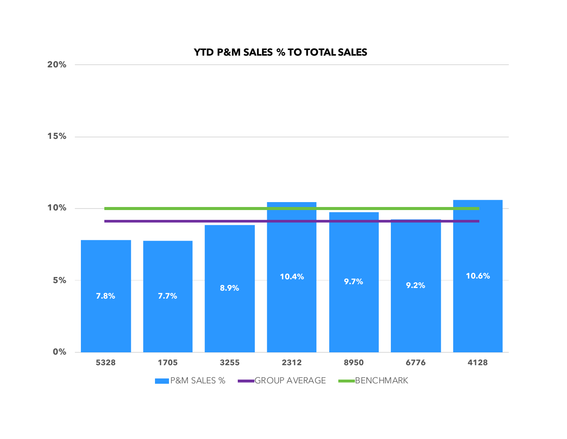## **YTD P&M SALES % TO TOTAL SALES**

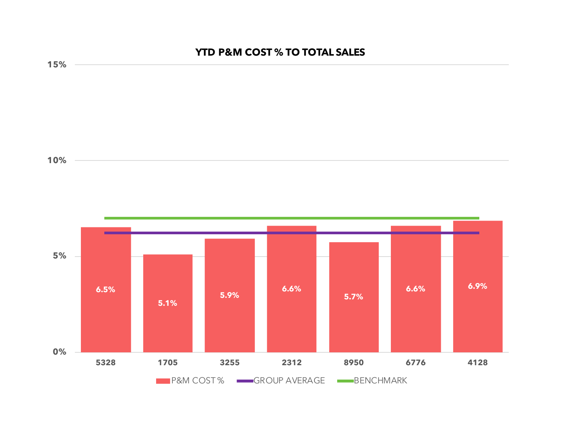# **YTD P&M COST % TO TOTAL SALES**



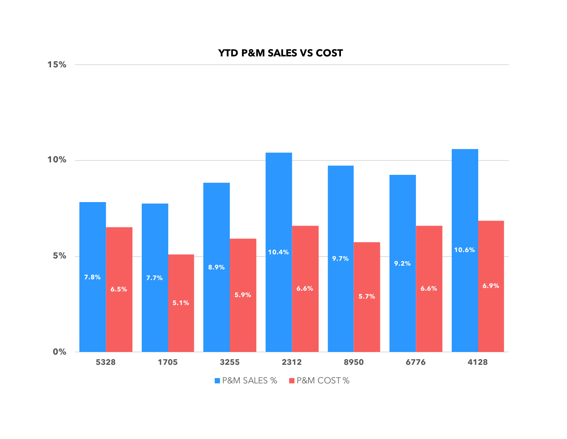## **YTD P&M SALES VS COST**



**15%**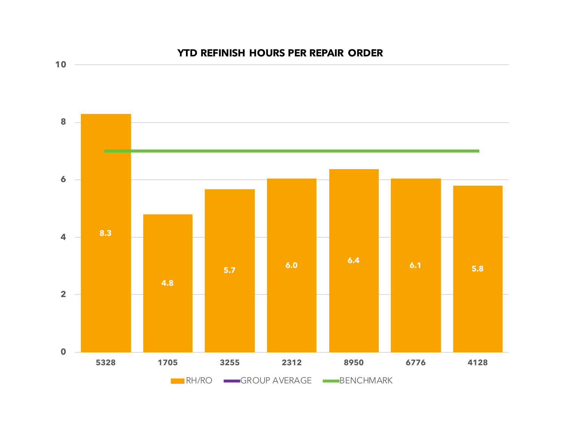

## **YTD REFINISH HOURS PER REPAIR ORDER**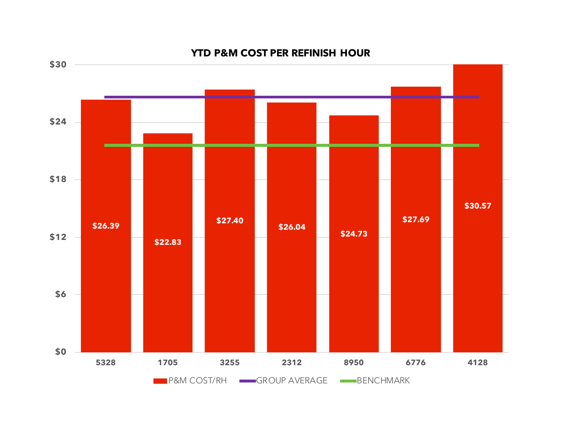

#### **YTD P&M COST PER REFINISH HOUR**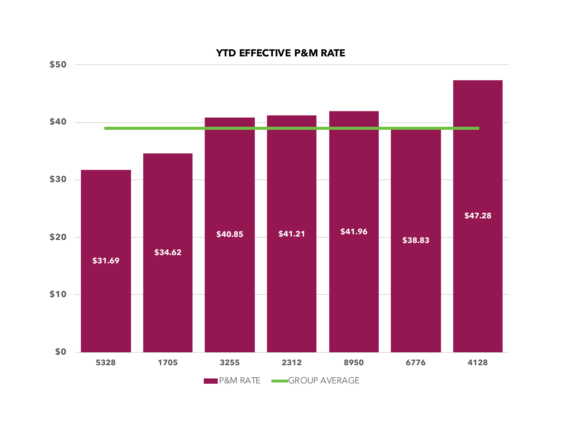

#### **YTD EFFECTIVE P&M RATE**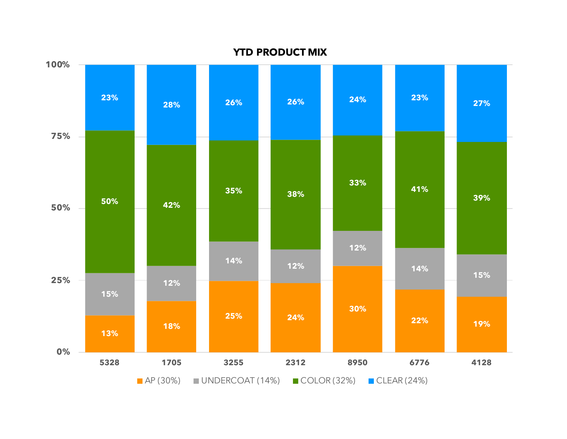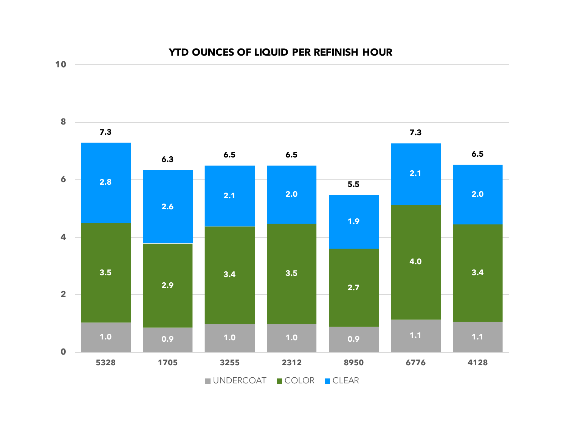

**10**